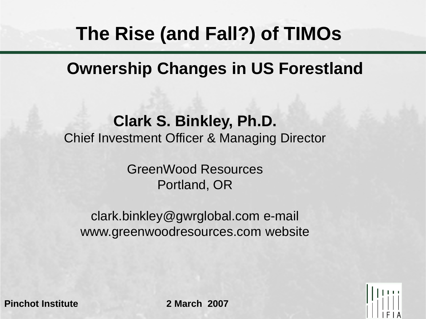# **The Rise (and Fall?) of TIMOs**

### **Ownership Changes in US Forestland**

#### **Clark S. Binkley, Ph.D.** Chief Investment Officer & Managing Director

GreenWood Resources Portland, OR

clark.binkley@gwrglobal.com e-mail www.greenwoodresources.com website

**Pinchot Institute 2 March 2007**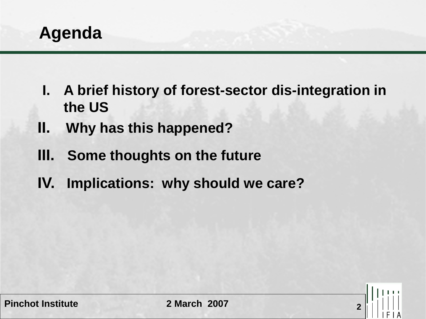

- **I. A brief history of forest-sector dis-integration in the US**
- **II. Why has this happened?**
- **III. Some thoughts on the future**
- **IV. Implications: why should we care?**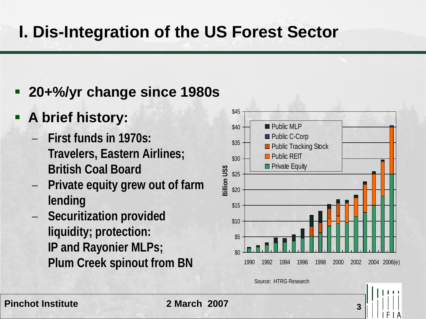### **I. Dis-Integration of the US Forest Sector**

- **20+%/yr change since 1980s**
- **A brief history:**
	- **First funds in 1970s: Travelers, Eastern Airlines; British Coal Board**
	- **Private equity grew out of farm lending**
	- **Securitization provided liquidity; protection: IP and Rayonier MLPs; Plum Creek spinout from BN**



Source: HTRG Research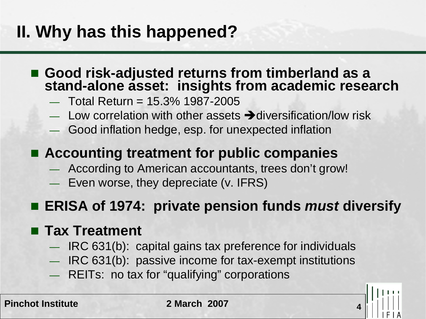## **II. Why has this happened?**

- Good risk-adjusted returns from timberland as a<br>stand-alone asset: insights from academic research
	- $-$  Total Return = 15.3% 1987-2005
	- Low correlation with other assets  $\rightarrow$  diversification/low risk
	- Good inflation hedge, esp. for unexpected inflation

#### ■ Accounting treatment for public companies

- According to American accountants, trees don't grow!
- Even worse, they depreciate (v. IFRS)

#### **ERISA of 1974: private pension funds** *must* **diversify**

#### ■ Tax Treatment

- IRC 631(b): capital gains tax preference for individuals
- IRC 631(b): passive income for tax-exempt institutions
- REITs: no tax for "qualifying" corporations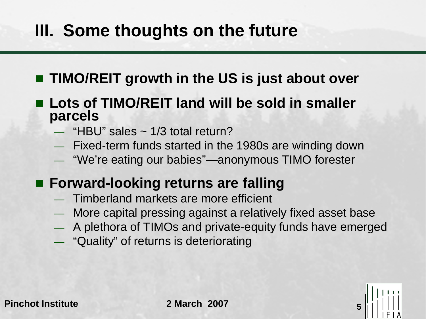## **III. Some thoughts on the future**

#### **TIMO/REIT growth in the US is just about over**

- Lots of TIMO/REIT land will be sold in smaller **parcels**
	- $-$  "HBU" sales  $\sim$  1/3 total return?
	- Fixed-term funds started in the 1980s are winding down
	- "We're eating our babies"—anonymous TIMO forester

#### **Forward-looking returns are falling**

- Timberland markets are more efficient
- More capital pressing against a relatively fixed asset base
- A plethora of TIMOs and private-equity funds have emerged
- "Quality" of returns is deteriorating